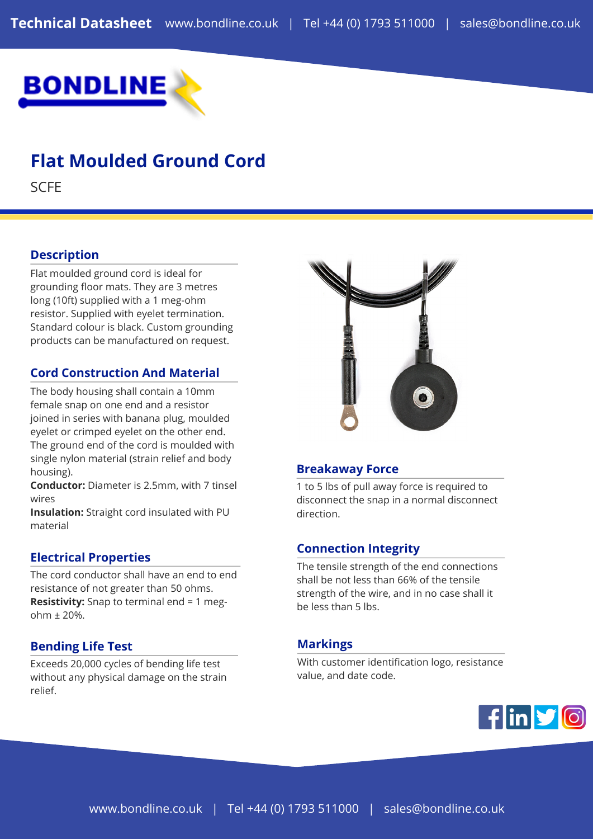

# **Flat Moulded Ground Cord**

**SCFE** 

## **Description**

Flat moulded ground cord is ideal for grounding floor mats. They are 3 metres long (10ft) supplied with a 1 meg-ohm resistor. Supplied with eyelet termination. Standard colour is black. Custom grounding products can be manufactured on request.

## **Cord Construction And Material**

The body housing shall contain a 10mm female snap on one end and a resistor joined in series with banana plug, moulded eyelet or crimped eyelet on the other end. The ground end of the cord is moulded with single nylon material (strain relief and body housing).

**Conductor:** Diameter is 2.5mm, with 7 tinsel wires

**Insulation:** Straight cord insulated with PU material

#### **Electrical Properties**

The cord conductor shall have an end to end resistance of not greater than 50 ohms. **Resistivity:** Snap to terminal end = 1 megohm ± 20%.

## **Bending Life Test**

Exceeds 20,000 cycles of bending life test without any physical damage on the strain relief.



#### **Breakaway Force**

1 to 5 lbs of pull away force is required to disconnect the snap in a normal disconnect direction.

## **Connection Integrity**

The tensile strength of the end connections shall be not less than 66% of the tensile strength of the wire, and in no case shall it be less than 5 lbs.

#### **Markings**

With customer identification logo, resistance value, and date code.